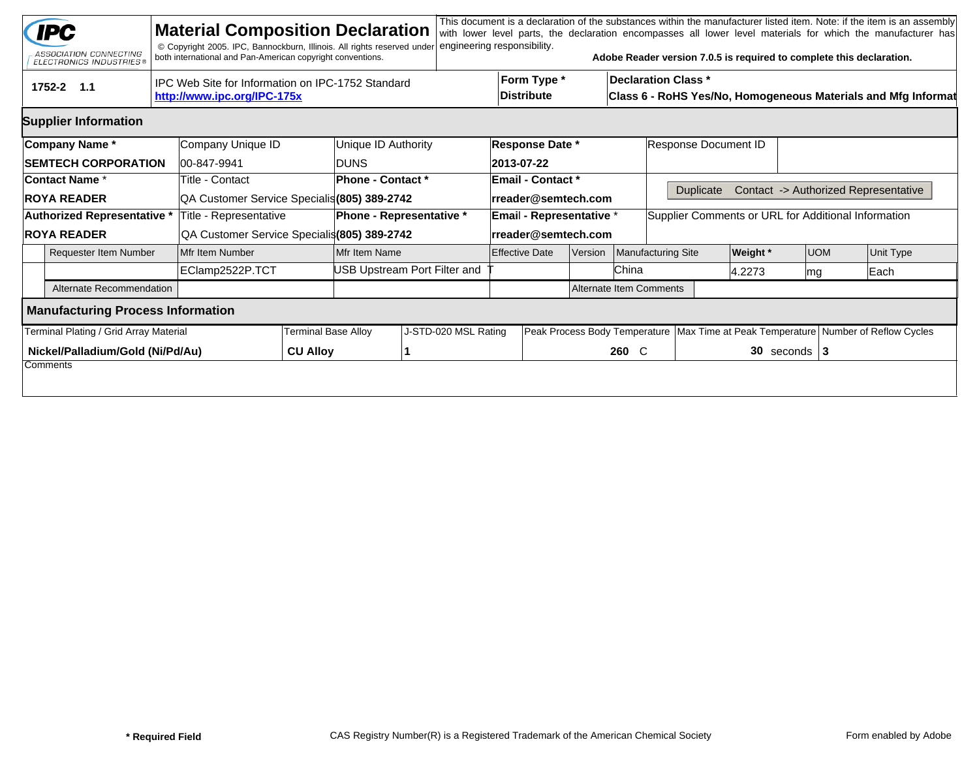|                                                                                                | <b>IPC</b><br>ASSOCIATION CONNECTING<br><b>ELECTRONICS INDUSTRIES®</b> |  | <b>Material Composition Declaration</b><br>© Copyright 2005. IPC, Bannockburn, Illinois. All rights reserved under<br>both international and Pan-American copyright conventions. |                            |                              | engineering responsibility. |                                  |  |                                |                                                                                             | Adobe Reader version 7.0.5 is required to complete this declaration. |                                                                                        |  |                                      | This document is a declaration of the substances within the manufacturer listed item. Note: if the item is an assembly<br>with lower level parts, the declaration encompasses all lower level materials for which the manufacturer has |  |  |
|------------------------------------------------------------------------------------------------|------------------------------------------------------------------------|--|----------------------------------------------------------------------------------------------------------------------------------------------------------------------------------|----------------------------|------------------------------|-----------------------------|----------------------------------|--|--------------------------------|---------------------------------------------------------------------------------------------|----------------------------------------------------------------------|----------------------------------------------------------------------------------------|--|--------------------------------------|----------------------------------------------------------------------------------------------------------------------------------------------------------------------------------------------------------------------------------------|--|--|
| IPC Web Site for Information on IPC-1752 Standard<br>1752-2 1.1<br>http://www.ipc.org/IPC-175x |                                                                        |  |                                                                                                                                                                                  |                            |                              |                             | Form Type *<br><b>Distribute</b> |  |                                | <b>Declaration Class *</b><br>Class 6 - RoHS Yes/No, Homogeneous Materials and Mfg Informat |                                                                      |                                                                                        |  |                                      |                                                                                                                                                                                                                                        |  |  |
|                                                                                                | <b>Supplier Information</b>                                            |  |                                                                                                                                                                                  |                            |                              |                             |                                  |  |                                |                                                                                             |                                                                      |                                                                                        |  |                                      |                                                                                                                                                                                                                                        |  |  |
| Company Name*                                                                                  |                                                                        |  | Company Unique ID                                                                                                                                                                |                            | Unique ID Authority          | <b>Response Date *</b>      |                                  |  |                                | Response Document ID                                                                        |                                                                      |                                                                                        |  |                                      |                                                                                                                                                                                                                                        |  |  |
| <b>SEMTECH CORPORATION</b>                                                                     |                                                                        |  | 00-847-9941                                                                                                                                                                      |                            | <b>DUNS</b>                  |                             | 2013-07-22                       |  |                                |                                                                                             |                                                                      |                                                                                        |  |                                      |                                                                                                                                                                                                                                        |  |  |
| <b>Contact Name *</b>                                                                          |                                                                        |  | Title - Contact                                                                                                                                                                  |                            | Phone - Contact *            |                             | <b>Email - Contact *</b>         |  |                                |                                                                                             |                                                                      |                                                                                        |  |                                      |                                                                                                                                                                                                                                        |  |  |
| <b>ROYA READER</b>                                                                             |                                                                        |  | QA Customer Service Specialis (805) 389-2742                                                                                                                                     |                            |                              | rreader@semtech.com         |                                  |  |                                | <b>Duplicate</b>                                                                            |                                                                      |                                                                                        |  | Contact -> Authorized Representative |                                                                                                                                                                                                                                        |  |  |
| Authorized Representative *                                                                    |                                                                        |  | Title - Representative                                                                                                                                                           |                            | Phone - Representative *     | Email - Representative *    |                                  |  |                                | Supplier Comments or URL for Additional Information                                         |                                                                      |                                                                                        |  |                                      |                                                                                                                                                                                                                                        |  |  |
| <b>ROYA READER</b>                                                                             |                                                                        |  | QA Customer Service Specialis(805) 389-2742                                                                                                                                      |                            |                              | rreader@semtech.com         |                                  |  |                                |                                                                                             |                                                                      |                                                                                        |  |                                      |                                                                                                                                                                                                                                        |  |  |
|                                                                                                | <b>Requester Item Number</b>                                           |  | Mfr Item Number                                                                                                                                                                  |                            | Mfr Item Name                |                             | <b>Effective Date</b><br>Version |  |                                | <b>Manufacturing Site</b>                                                                   |                                                                      | <b>UOM</b>                                                                             |  | Unit Type                            |                                                                                                                                                                                                                                        |  |  |
|                                                                                                |                                                                        |  | EClamp2522P.TCT                                                                                                                                                                  |                            | JSB Upstream Port Filter and |                             |                                  |  | China                          |                                                                                             | 4.2273<br> mg                                                        |                                                                                        |  | Each                                 |                                                                                                                                                                                                                                        |  |  |
|                                                                                                | Alternate Recommendation                                               |  |                                                                                                                                                                                  |                            |                              |                             |                                  |  | <b>Alternate Item Comments</b> |                                                                                             |                                                                      |                                                                                        |  |                                      |                                                                                                                                                                                                                                        |  |  |
| <b>Manufacturing Process Information</b>                                                       |                                                                        |  |                                                                                                                                                                                  |                            |                              |                             |                                  |  |                                |                                                                                             |                                                                      |                                                                                        |  |                                      |                                                                                                                                                                                                                                        |  |  |
|                                                                                                | Terminal Plating / Grid Array Material                                 |  |                                                                                                                                                                                  | <b>Terminal Base Alloy</b> | J-STD-020 MSL Rating         |                             |                                  |  |                                |                                                                                             |                                                                      | Peak Process Body Temperature   Max Time at Peak Temperature   Number of Reflow Cycles |  |                                      |                                                                                                                                                                                                                                        |  |  |
|                                                                                                | Nickel/Palladium/Gold (Ni/Pd/Au)                                       |  |                                                                                                                                                                                  | <b>CU Alloy</b>            |                              |                             |                                  |  | 260 C                          |                                                                                             | $30$ seconds $3$                                                     |                                                                                        |  |                                      |                                                                                                                                                                                                                                        |  |  |
|                                                                                                | Comments                                                               |  |                                                                                                                                                                                  |                            |                              |                             |                                  |  |                                |                                                                                             |                                                                      |                                                                                        |  |                                      |                                                                                                                                                                                                                                        |  |  |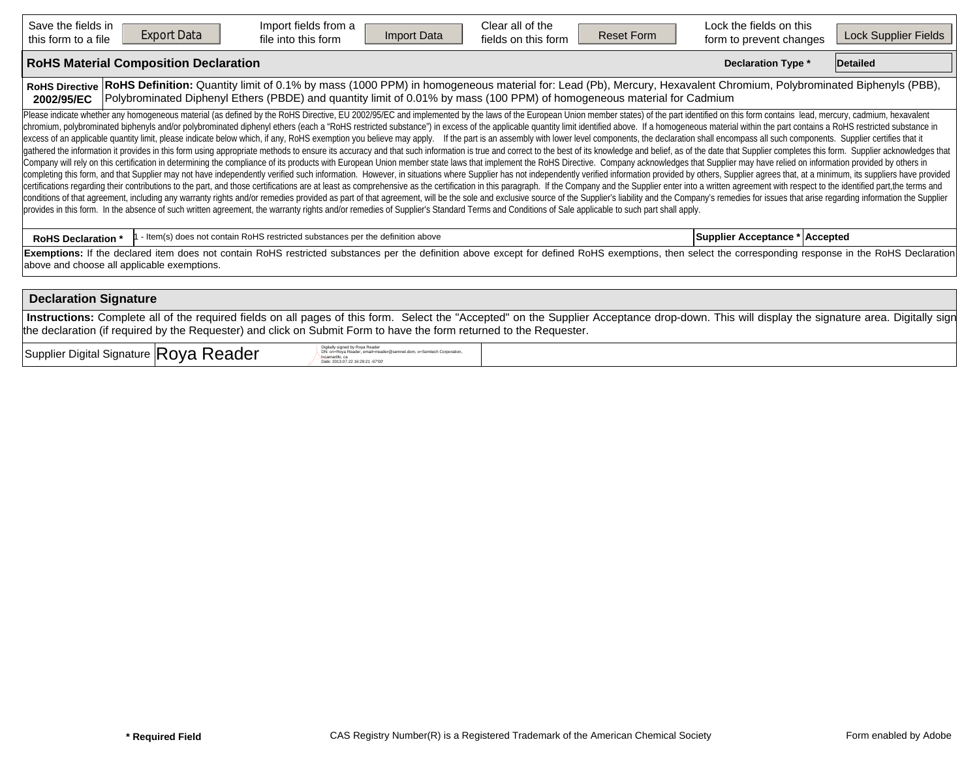| Clear all of the<br>Save the fields in<br>Import fields from a<br><b>Export Data</b><br>Import Data<br><b>Reset Form</b><br>this form to a file<br>file into this form<br>fields on this form                                                                                                                                                                                                                                                                                                                                                                                                                                                                                                                                                                                                                                                                                                                                                                                                                                                                                                                                                                                                                                                                                                                                                                                                                                                                                                                                                                                                                                                                                                                                                                                                                                                                                                                                                                                                                                                                               | Lock the fields on this<br><b>Lock Supplier Fields</b><br>form to prevent changes |  |  |  |  |  |  |  |  |  |  |  |  |
|-----------------------------------------------------------------------------------------------------------------------------------------------------------------------------------------------------------------------------------------------------------------------------------------------------------------------------------------------------------------------------------------------------------------------------------------------------------------------------------------------------------------------------------------------------------------------------------------------------------------------------------------------------------------------------------------------------------------------------------------------------------------------------------------------------------------------------------------------------------------------------------------------------------------------------------------------------------------------------------------------------------------------------------------------------------------------------------------------------------------------------------------------------------------------------------------------------------------------------------------------------------------------------------------------------------------------------------------------------------------------------------------------------------------------------------------------------------------------------------------------------------------------------------------------------------------------------------------------------------------------------------------------------------------------------------------------------------------------------------------------------------------------------------------------------------------------------------------------------------------------------------------------------------------------------------------------------------------------------------------------------------------------------------------------------------------------------|-----------------------------------------------------------------------------------|--|--|--|--|--|--|--|--|--|--|--|--|
| <b>RoHS Material Composition Declaration</b><br><b>Declaration Type *</b><br>Detailed                                                                                                                                                                                                                                                                                                                                                                                                                                                                                                                                                                                                                                                                                                                                                                                                                                                                                                                                                                                                                                                                                                                                                                                                                                                                                                                                                                                                                                                                                                                                                                                                                                                                                                                                                                                                                                                                                                                                                                                       |                                                                                   |  |  |  |  |  |  |  |  |  |  |  |  |
| RoHS Definition: Quantity limit of 0.1% by mass (1000 PPM) in homogeneous material for: Lead (Pb), Mercury, Hexavalent Chromium, Polybrominated Biphenyls (PBB),<br><b>RoHS Directive</b><br>Polybrominated Diphenyl Ethers (PBDE) and quantity limit of 0.01% by mass (100 PPM) of homogeneous material for Cadmium<br>2002/95/EC                                                                                                                                                                                                                                                                                                                                                                                                                                                                                                                                                                                                                                                                                                                                                                                                                                                                                                                                                                                                                                                                                                                                                                                                                                                                                                                                                                                                                                                                                                                                                                                                                                                                                                                                          |                                                                                   |  |  |  |  |  |  |  |  |  |  |  |  |
| Please indicate whether any homogeneous material (as defined by the RoHS Directive, EU 2002/95/EC and implemented by the laws of the European Union member states) of the part identified on this form contains lead, mercury,<br>chromium, polybrominated biphenyls and/or polybrominated diphenyl ethers (each a "RoHS restricted substance") in excess of the applicable quantity limit identified above. If a homogeneous material within the part contains<br>excess of an applicable quantity limit, please indicate below which, if any, RoHS exemption you believe may apply. If the part is an assembly with lower level components, the declaration shall encompass all such components<br>gathered the information it provides in this form using appropriate methods to ensure its accuracy and that such information is true and correct to the best of its knowledge and belief, as of the date that Supplier complet<br>Company will rely on this certification in determining the compliance of its products with European Union member state laws that implement the RoHS Directive. Company acknowledges that Supplier may have relied on informati<br>completing this form, and that Supplier may not have independently verified such information. However, in situations where Supplier has not independently verified information provided by others, Supplier agrees that, at a<br>certifications regarding their contributions to the part, and those certifications are at least as comprehensive as the certification in this paragraph. If the Company and the Supplier enter into a written agreement with r<br>conditions of that agreement, including any warranty rights and/or remedies provided as part of that agreement, will be the sole and exclusive source of the Supplier's liability and the Company's remedies for issues that a<br>provides in this form. In the absence of such written agreement, the warranty rights and/or remedies of Supplier's Standard Terms and Conditions of Sale applicable to such part shall apply. |                                                                                   |  |  |  |  |  |  |  |  |  |  |  |  |
| - Item(s) does not contain RoHS restricted substances per the definition above<br><b>RoHS Declaration *</b>                                                                                                                                                                                                                                                                                                                                                                                                                                                                                                                                                                                                                                                                                                                                                                                                                                                                                                                                                                                                                                                                                                                                                                                                                                                                                                                                                                                                                                                                                                                                                                                                                                                                                                                                                                                                                                                                                                                                                                 | Supplier Acceptance * Accepted                                                    |  |  |  |  |  |  |  |  |  |  |  |  |
| Exemptions: If the declared item does not contain RoHS restricted substances per the definition above except for defined RoHS exemptions, then select the corresponding response in the RoHS Declaration<br>above and choose all applicable exemptions.                                                                                                                                                                                                                                                                                                                                                                                                                                                                                                                                                                                                                                                                                                                                                                                                                                                                                                                                                                                                                                                                                                                                                                                                                                                                                                                                                                                                                                                                                                                                                                                                                                                                                                                                                                                                                     |                                                                                   |  |  |  |  |  |  |  |  |  |  |  |  |
| <b>Declaration Signature</b>                                                                                                                                                                                                                                                                                                                                                                                                                                                                                                                                                                                                                                                                                                                                                                                                                                                                                                                                                                                                                                                                                                                                                                                                                                                                                                                                                                                                                                                                                                                                                                                                                                                                                                                                                                                                                                                                                                                                                                                                                                                |                                                                                   |  |  |  |  |  |  |  |  |  |  |  |  |
| Instructions: Complete all of the required fields on all pages of this form. Select the "Accepted" on the Supplier Acceptance drop-down. This will display the signature area. Digitally sign                                                                                                                                                                                                                                                                                                                                                                                                                                                                                                                                                                                                                                                                                                                                                                                                                                                                                                                                                                                                                                                                                                                                                                                                                                                                                                                                                                                                                                                                                                                                                                                                                                                                                                                                                                                                                                                                               |                                                                                   |  |  |  |  |  |  |  |  |  |  |  |  |

 $\sup_{\text{Supplier}}$  Digital Signature  $|\text{Roya-Reder} \rangle$ 

DN: cn=Roya Reader, email=rreader@semnet.dom, o=Semtech Corporation,<br>l=camarillo, ca<br>Date: 2013.07.22 16:29:21 -07'00'

the declaration (if required by the Requester) and click on Submit Form to have the form returned to the Requester.